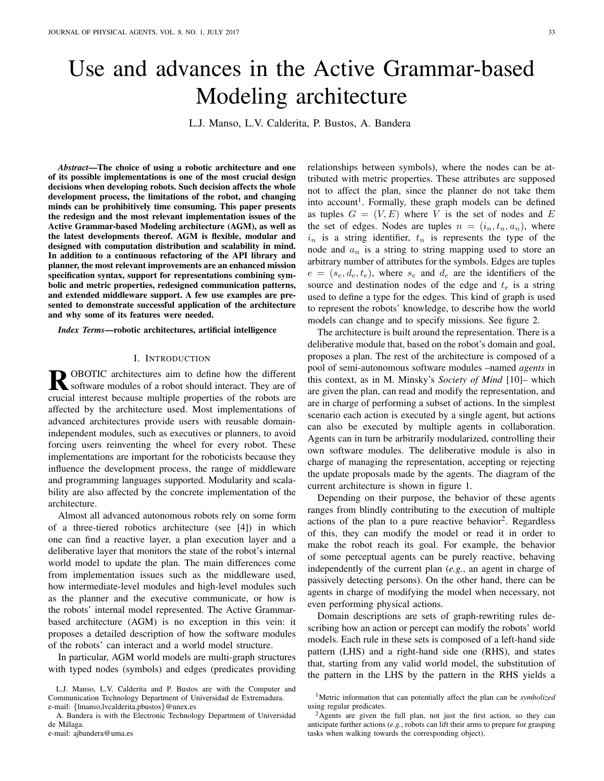# Use and advances in the Active Grammar-based Modeling architecture

L.J. Manso, L.V. Calderita, P. Bustos, A. Bandera

*Abstract*—The choice of using a robotic architecture and one of its possible implementations is one of the most crucial design decisions when developing robots. Such decision affects the whole development process, the limitations of the robot, and changing minds can be prohibitively time consuming. This paper presents the redesign and the most relevant implementation issues of the Active Grammar-based Modeling architecture (AGM), as well as the latest developments thereof. AGM is flexible, modular and designed with computation distribution and scalability in mind. In addition to a continuous refactoring of the API library and planner, the most relevant improvements are an enhanced mission specification syntax, support for representations combining symbolic and metric properties, redesigned communication patterns, and extended middleware support. A few use examples are presented to demonstrate successful application of the architecture and why some of its features were needed.

*Index Terms*—robotic architectures, artificial intelligence

#### I. INTRODUCTION

**R** OBOTIC architectures aim to define how the different software modules of a robot should interact. They are of software modules of a robot should interact. They are of crucial interest because multiple properties of the robots are affected by the architecture used. Most implementations of advanced architectures provide users with reusable domainindependent modules, such as executives or planners, to avoid forcing users reinventing the wheel for every robot. These implementations are important for the roboticists because they influence the development process, the range of middleware and programming languages supported. Modularity and scalability are also affected by the concrete implementation of the architecture.

Almost all advanced autonomous robots rely on some form of a three-tiered robotics architecture (see [4]) in which one can find a reactive layer, a plan execution layer and a deliberative layer that monitors the state of the robot's internal world model to update the plan. The main differences come from implementation issues such as the middleware used, how intermediate-level modules and high-level modules such as the planner and the executive communicate, or how is the robots' internal model represented. The Active Grammarbased architecture (AGM) is no exception in this vein: it proposes a detailed description of how the software modules of the robots' can interact and a world model structure.

In particular, AGM world models are multi-graph structures with typed nodes (symbols) and edges (predicates providing

e-mail: ajbandera@uma.es

relationships between symbols), where the nodes can be attributed with metric properties. These attributes are supposed not to affect the plan, since the planner do not take them into account<sup>1</sup>. Formally, these graph models can be defined as tuples  $G = (V, E)$  where V is the set of nodes and E the set of edges. Nodes are tuples  $n = (i_n, t_n, a_n)$ , where  $i_n$  is a string identifier,  $t_n$  is represents the type of the node and  $a_n$  is a string to string mapping used to store an arbitrary number of attributes for the symbols. Edges are tuples  $e = (s_e, d_e, t_e)$ , where  $s_e$  and  $d_e$  are the identifiers of the source and destination nodes of the edge and  $t_e$  is a string used to define a type for the edges. This kind of graph is used to represent the robots' knowledge, to describe how the world models can change and to specify missions. See figure 2.

The architecture is built around the representation. There is a deliberative module that, based on the robot's domain and goal, proposes a plan. The rest of the architecture is composed of a pool of semi-autonomous software modules –named *agents* in this context, as in M. Minsky's *Society of Mind* [10]– which are given the plan, can read and modify the representation, and are in charge of performing a subset of actions. In the simplest scenario each action is executed by a single agent, but actions can also be executed by multiple agents in collaboration. Agents can in turn be arbitrarily modularized, controlling their own software modules. The deliberative module is also in charge of managing the representation, accepting or rejecting the update proposals made by the agents. The diagram of the current architecture is shown in figure 1.

Depending on their purpose, the behavior of these agents ranges from blindly contributing to the execution of multiple actions of the plan to a pure reactive behavior<sup>2</sup>. Regardless of this, they can modify the model or read it in order to make the robot reach its goal. For example, the behavior of some perceptual agents can be purely reactive, behaving independently of the current plan (*e.g.*, an agent in charge of passively detecting persons). On the other hand, there can be agents in charge of modifying the model when necessary, not even performing physical actions.

Domain descriptions are sets of graph-rewriting rules describing how an action or percept can modify the robots' world models. Each rule in these sets is composed of a left-hand side pattern (LHS) and a right-hand side one (RHS), and states that, starting from any valid world model, the substitution of the pattern in the LHS by the pattern in the RHS yields a

L.J. Manso, L.V. Calderita and P. Bustos are with the Computer and Communication Technology Department of Universidad de Extremadura. e-mail: {lmanso,lvcalderita,pbustos}@unex.es

A. Bandera is with the Electronic Technology Department of Universidad de Málaga.

<sup>1</sup>Metric information that can potentially affect the plan can be *symbolized* using regular predicates.

 $2$ Agents are given the full plan, not just the first action, so they can anticipate further actions (*e.g.*, robots can lift their arms to prepare for grasping tasks when walking towards the corresponding object).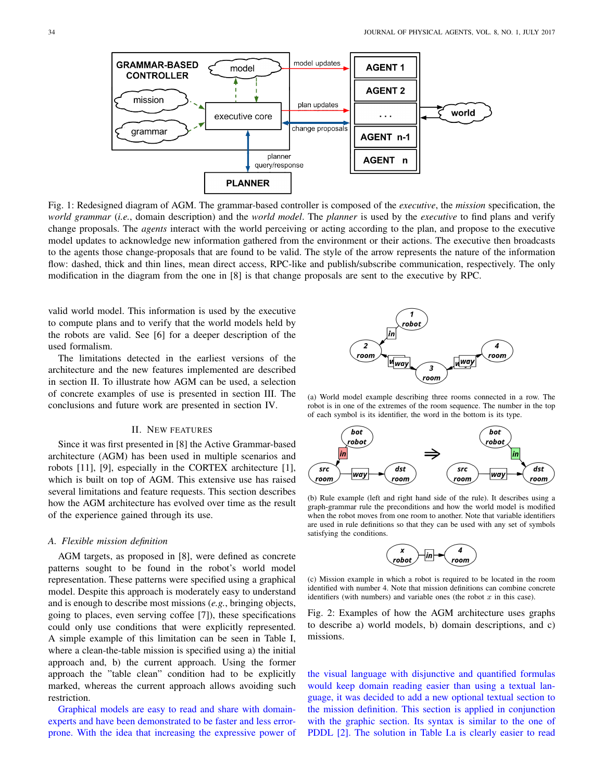

Fig. 1: Redesigned diagram of AGM. The grammar-based controller is composed of the *executive*, the *mission* specification, the *world grammar* (*i.e.*, domain description) and the *world model*. The *planner* is used by the *executive* to find plans and verify change proposals. The *agents* interact with the world perceiving or acting according to the plan, and propose to the executive model updates to acknowledge new information gathered from the environment or their actions. The executive then broadcasts to the agents those change-proposals that are found to be valid. The style of the arrow represents the nature of the information flow: dashed, thick and thin lines, mean direct access, RPC-like and publish/subscribe communication, respectively. The only modification in the diagram from the one in [8] is that change proposals are sent to the executive by RPC.

valid world model. This information is used by the executive to compute plans and to verify that the world models held by the robots are valid. See [6] for a deeper description of the used formalism.

The limitations detected in the earliest versions of the architecture and the new features implemented are described in section II. To illustrate how AGM can be used, a selection of concrete examples of use is presented in section III. The conclusions and future work are presented in section IV.

# II. NEW FEATURES

Since it was first presented in [8] the Active Grammar-based architecture (AGM) has been used in multiple scenarios and robots [11], [9], especially in the CORTEX architecture [1], which is built on top of AGM. This extensive use has raised several limitations and feature requests. This section describes how the AGM architecture has evolved over time as the result of the experience gained through its use.

## *A. Flexible mission definition*

AGM targets, as proposed in [8], were defined as concrete patterns sought to be found in the robot's world model representation. These patterns were specified using a graphical model. Despite this approach is moderately easy to understand and is enough to describe most missions (*e.g.*, bringing objects, going to places, even serving coffee [7]), these specifications could only use conditions that were explicitly represented. A simple example of this limitation can be seen in Table I, where a clean-the-table mission is specified using a) the initial approach and, b) the current approach. Using the former approach the "table clean" condition had to be explicitly marked, whereas the current approach allows avoiding such restriction.

Graphical models are easy to read and share with domainexperts and have been demonstrated to be faster and less errorprone. With the idea that increasing the expressive power of



(a) World model example describing three rooms connected in a row. The robot is in one of the extremes of the room sequence. The number in the top of each symbol is its identifier, the word in the bottom is its type.



(b) Rule example (left and right hand side of the rule). It describes using a graph-grammar rule the preconditions and how the world model is modified when the robot moves from one room to another. Note that variable identifiers are used in rule definitions so that they can be used with any set of symbols satisfying the conditions.



(c) Mission example in which a robot is required to be located in the room identified with number 4. Note that mission definitions can combine concrete identifiers (with numbers) and variable ones (the robot  $x$  in this case).

Fig. 2: Examples of how the AGM architecture uses graphs to describe a) world models, b) domain descriptions, and c) missions.

the visual language with disjunctive and quantified formulas would keep domain reading easier than using a textual language, it was decided to add a new optional textual section to the mission definition. This section is applied in conjunction with the graphic section. Its syntax is similar to the one of PDDL [2]. The solution in Table I.a is clearly easier to read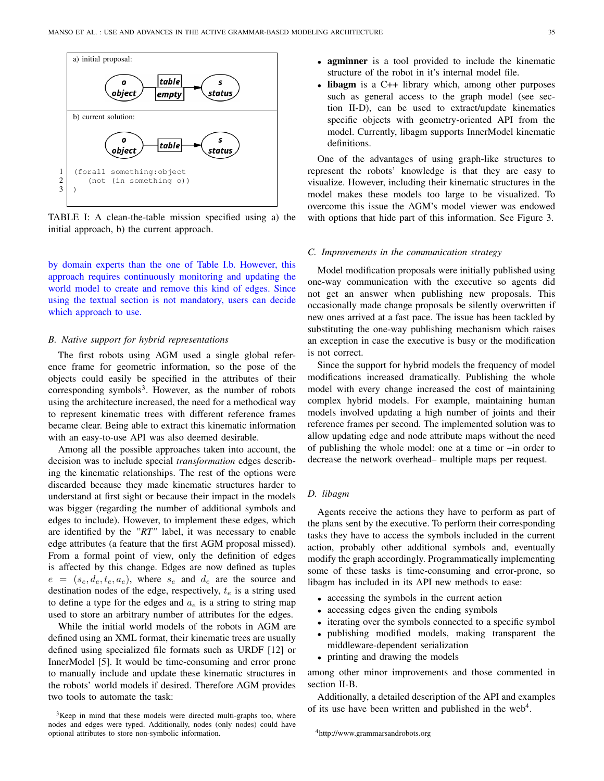

TABLE I: A clean-the-table mission specified using a) the initial approach, b) the current approach.

by domain experts than the one of Table I.b. However, this approach requires continuously monitoring and updating the world model to create and remove this kind of edges. Since using the textual section is not mandatory, users can decide which approach to use.

# *B. Native support for hybrid representations*

The first robots using AGM used a single global reference frame for geometric information, so the pose of the objects could easily be specified in the attributes of their corresponding symbols<sup>3</sup>. However, as the number of robots using the architecture increased, the need for a methodical way to represent kinematic trees with different reference frames became clear. Being able to extract this kinematic information with an easy-to-use API was also deemed desirable.

Among all the possible approaches taken into account, the decision was to include special *transformation* edges describing the kinematic relationships. The rest of the options were discarded because they made kinematic structures harder to understand at first sight or because their impact in the models was bigger (regarding the number of additional symbols and edges to include). However, to implement these edges, which are identified by the *"RT"* label, it was necessary to enable edge attributes (a feature that the first AGM proposal missed). From a formal point of view, only the definition of edges is affected by this change. Edges are now defined as tuples  $e = (s_e, d_e, t_e, a_e)$ , where  $s_e$  and  $d_e$  are the source and destination nodes of the edge, respectively,  $t_e$  is a string used to define a type for the edges and  $a_e$  is a string to string map used to store an arbitrary number of attributes for the edges.

While the initial world models of the robots in AGM are defined using an XML format, their kinematic trees are usually defined using specialized file formats such as URDF [12] or InnerModel [5]. It would be time-consuming and error prone to manually include and update these kinematic structures in the robots' world models if desired. Therefore AGM provides two tools to automate the task:

- **agminner** is a tool provided to include the kinematic structure of the robot in it's internal model file.
- **libagm** is a  $C++$  library which, among other purposes such as general access to the graph model (see section II-D), can be used to extract/update kinematics specific objects with geometry-oriented API from the model. Currently, libagm supports InnerModel kinematic definitions.

One of the advantages of using graph-like structures to represent the robots' knowledge is that they are easy to visualize. However, including their kinematic structures in the model makes these models too large to be visualized. To overcome this issue the AGM's model viewer was endowed with options that hide part of this information. See Figure 3.

#### *C. Improvements in the communication strategy*

Model modification proposals were initially published using one-way communication with the executive so agents did not get an answer when publishing new proposals. This occasionally made change proposals be silently overwritten if new ones arrived at a fast pace. The issue has been tackled by substituting the one-way publishing mechanism which raises an exception in case the executive is busy or the modification is not correct.

Since the support for hybrid models the frequency of model modifications increased dramatically. Publishing the whole model with every change increased the cost of maintaining complex hybrid models. For example, maintaining human models involved updating a high number of joints and their reference frames per second. The implemented solution was to allow updating edge and node attribute maps without the need of publishing the whole model: one at a time or –in order to decrease the network overhead– multiple maps per request.

# *D. libagm*

Agents receive the actions they have to perform as part of the plans sent by the executive. To perform their corresponding tasks they have to access the symbols included in the current action, probably other additional symbols and, eventually modify the graph accordingly. Programmatically implementing some of these tasks is time-consuming and error-prone, so libagm has included in its API new methods to ease:

- accessing the symbols in the current action
- accessing edges given the ending symbols
- iterating over the symbols connected to a specific symbol
- publishing modified models, making transparent the middleware-dependent serialization
- printing and drawing the models

among other minor improvements and those commented in section II-B.

Additionally, a detailed description of the API and examples of its use have been written and published in the web<sup>4</sup>.

<sup>4</sup>http://www.grammarsandrobots.org

 $3$ Keep in mind that these models were directed multi-graphs too, where nodes and edges were typed. Additionally, nodes (only nodes) could have optional attributes to store non-symbolic information.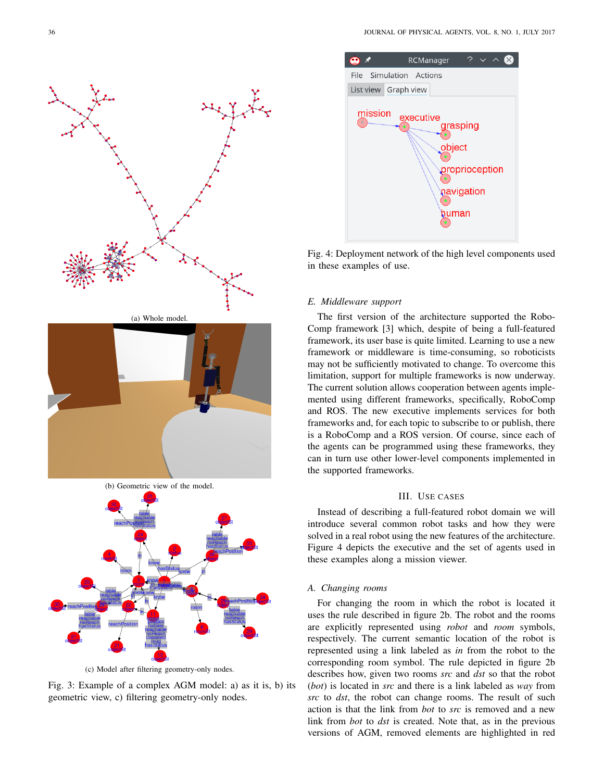



(c) Model after filtering geometry-only nodes.

Fig. 3: Example of a complex AGM model: a) as it is, b) its geometric view, c) filtering geometry-only nodes.



Fig. 4: Deployment network of the high level components used in these examples of use.

## *E. Middleware support*

The first version of the architecture supported the Robo-Comp framework [3] which, despite of being a full-featured framework, its user base is quite limited. Learning to use a new framework or middleware is time-consuming, so roboticists may not be sufficiently motivated to change. To overcome this limitation, support for multiple frameworks is now underway. The current solution allows cooperation between agents implemented using different frameworks, specifically, RoboComp and ROS. The new executive implements services for both frameworks and, for each topic to subscribe to or publish, there is a RoboComp and a ROS version. Of course, since each of the agents can be programmed using these frameworks, they can in turn use other lower-level components implemented in the supported frameworks.

### III. USE CASES

Instead of describing a full-featured robot domain we will introduce several common robot tasks and how they were solved in a real robot using the new features of the architecture. Figure 4 depicts the executive and the set of agents used in these examples along a mission viewer.

#### *A. Changing rooms*

For changing the room in which the robot is located it uses the rule described in figure 2b. The robot and the rooms are explicitly represented using *robot* and *room* symbols, respectively. The current semantic location of the robot is represented using a link labeled as *in* from the robot to the corresponding room symbol. The rule depicted in figure 2b describes how, given two rooms *src* and *dst* so that the robot (*bot*) is located in *src* and there is a link labeled as *way* from *src* to *dst*, the robot can change rooms. The result of such action is that the link from *bot* to *src* is removed and a new link from *bot* to *dst* is created. Note that, as in the previous versions of AGM, removed elements are highlighted in red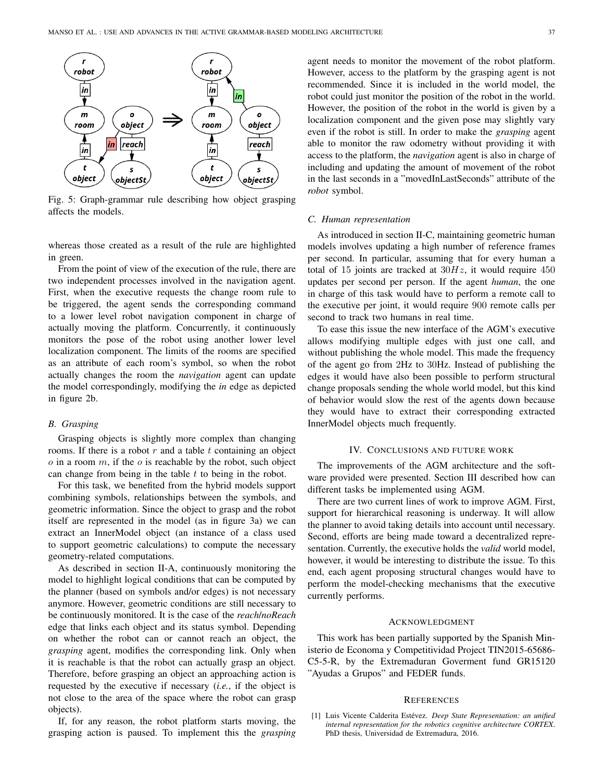

Fig. 5: Graph-grammar rule describing how object grasping affects the models.

whereas those created as a result of the rule are highlighted in green.

From the point of view of the execution of the rule, there are two independent processes involved in the navigation agent. First, when the executive requests the change room rule to be triggered, the agent sends the corresponding command to a lower level robot navigation component in charge of actually moving the platform. Concurrently, it continuously monitors the pose of the robot using another lower level localization component. The limits of the rooms are specified as an attribute of each room's symbol, so when the robot actually changes the room the *navigation* agent can update the model correspondingly, modifying the *in* edge as depicted in figure 2b.

# *B. Grasping*

Grasping objects is slightly more complex than changing rooms. If there is a robot  $r$  and a table  $t$  containing an object  $o$  in a room  $m$ , if the  $o$  is reachable by the robot, such object can change from being in the table  $t$  to being in the robot.

For this task, we benefited from the hybrid models support combining symbols, relationships between the symbols, and geometric information. Since the object to grasp and the robot itself are represented in the model (as in figure 3a) we can extract an InnerModel object (an instance of a class used to support geometric calculations) to compute the necessary geometry-related computations.

As described in section II-A, continuously monitoring the model to highlight logical conditions that can be computed by the planner (based on symbols and/or edges) is not necessary anymore. However, geometric conditions are still necessary to be continuously monitored. It is the case of the *reach*/*noReach* edge that links each object and its status symbol. Depending on whether the robot can or cannot reach an object, the *grasping* agent, modifies the corresponding link. Only when it is reachable is that the robot can actually grasp an object. Therefore, before grasping an object an approaching action is requested by the executive if necessary (*i.e.*, if the object is not close to the area of the space where the robot can grasp objects).

If, for any reason, the robot platform starts moving, the grasping action is paused. To implement this the *grasping* agent needs to monitor the movement of the robot platform. However, access to the platform by the grasping agent is not recommended. Since it is included in the world model, the robot could just monitor the position of the robot in the world. However, the position of the robot in the world is given by a localization component and the given pose may slightly vary even if the robot is still. In order to make the *grasping* agent able to monitor the raw odometry without providing it with access to the platform, the *navigation* agent is also in charge of including and updating the amount of movement of the robot in the last seconds in a "movedInLastSeconds" attribute of the *robot* symbol.

#### *C. Human representation*

As introduced in section II-C, maintaining geometric human models involves updating a high number of reference frames per second. In particular, assuming that for every human a total of 15 joints are tracked at  $30Hz$ , it would require 450 updates per second per person. If the agent *human*, the one in charge of this task would have to perform a remote call to the executive per joint, it would require 900 remote calls per second to track two humans in real time.

To ease this issue the new interface of the AGM's executive allows modifying multiple edges with just one call, and without publishing the whole model. This made the frequency of the agent go from 2Hz to 30Hz. Instead of publishing the edges it would have also been possible to perform structural change proposals sending the whole world model, but this kind of behavior would slow the rest of the agents down because they would have to extract their corresponding extracted InnerModel objects much frequently.

# IV. CONCLUSIONS AND FUTURE WORK

The improvements of the AGM architecture and the software provided were presented. Section III described how can different tasks be implemented using AGM.

There are two current lines of work to improve AGM. First, support for hierarchical reasoning is underway. It will allow the planner to avoid taking details into account until necessary. Second, efforts are being made toward a decentralized representation. Currently, the executive holds the *valid* world model, however, it would be interesting to distribute the issue. To this end, each agent proposing structural changes would have to perform the model-checking mechanisms that the executive currently performs.

### ACKNOWLEDGMENT

This work has been partially supported by the Spanish Ministerio de Economa y Competitividad Project TIN2015-65686- C5-5-R, by the Extremaduran Goverment fund GR15120 "Ayudas a Grupos" and FEDER funds.

#### **REFERENCES**

<sup>[1]</sup> Luis Vicente Calderita Estévez. *Deep State Representation: an unified internal representation for the robotics cognitive architecture CORTEX*. PhD thesis, Universidad de Extremadura, 2016.